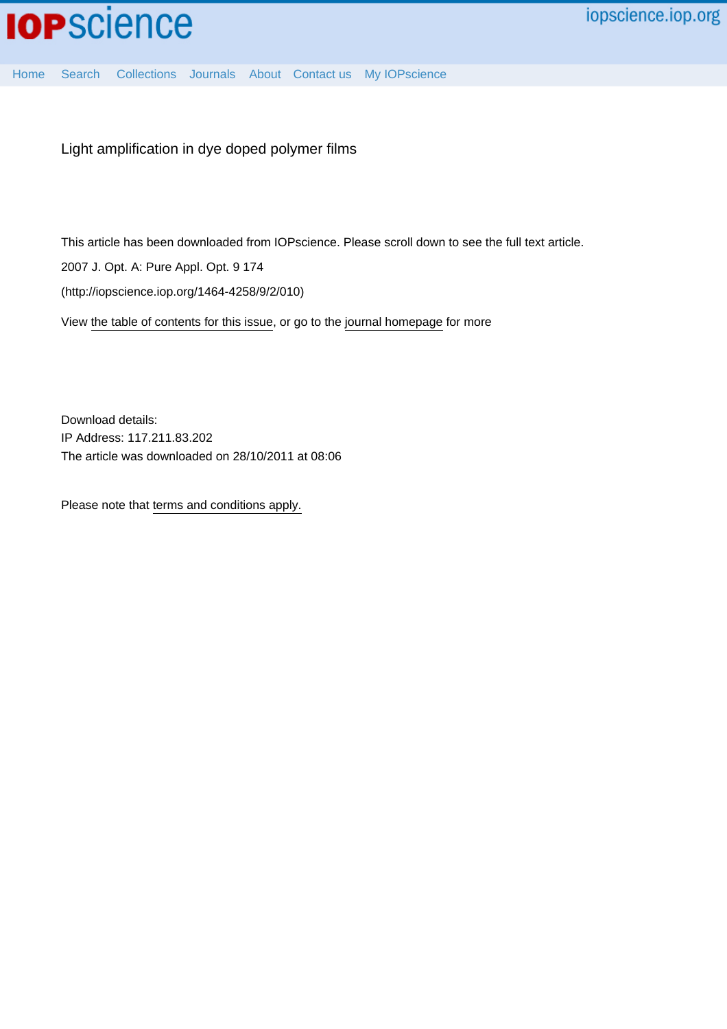

Light amplification in dye doped polymer films

This article has been downloaded from IOPscience. Please scroll down to see the full text article.

2007 J. Opt. A: Pure Appl. Opt. 9 174

(http://iopscience.iop.org/1464-4258/9/2/010)

View [the table of contents for this issue](http://iopscience.iop.org/1464-4258/9/2), or go to the [journal homepage](http://iopscience.iop.org/1464-4258) for more

Download details: IP Address: 117.211.83.202 The article was downloaded on 28/10/2011 at 08:06

Please note that [terms and conditions apply.](http://iopscience.iop.org/page/terms)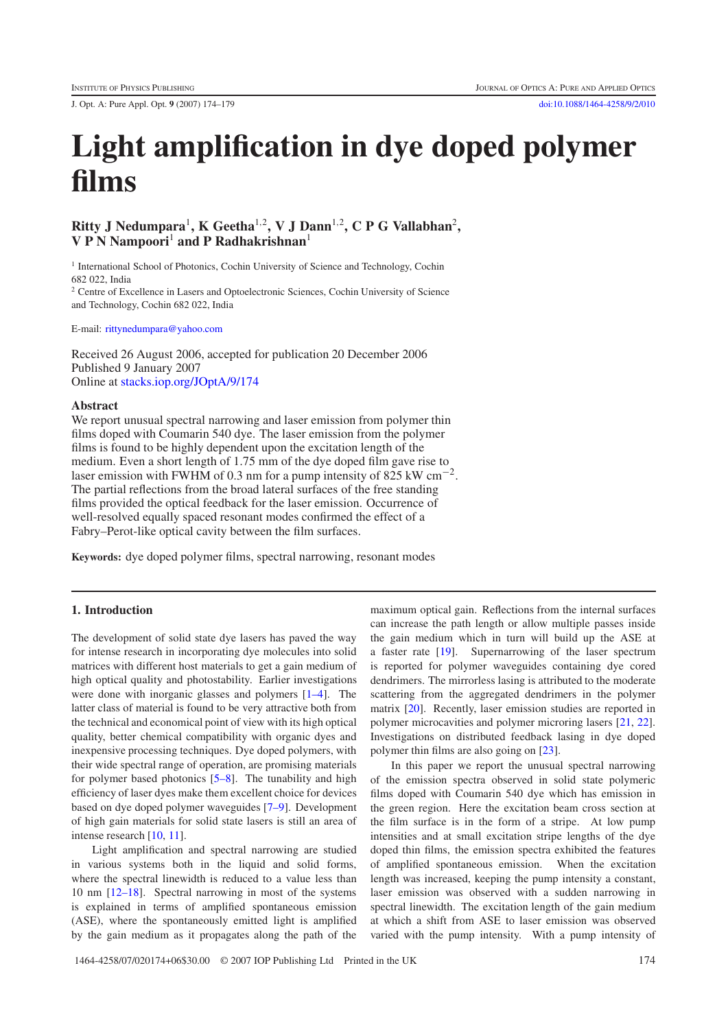J. Opt. A: Pure Appl. Opt. **9** (2007) 174–179 [doi:10.1088/1464-4258/9/2/010](http://dx.doi.org/10.1088/1464-4258/9/2/010)

# **Light amplification in dye doped polymer films**

## **Ritty J Nedumpara**<sup>1</sup>**, K Geetha**<sup>1</sup>,<sup>2</sup>**, V J Dann**<sup>1</sup>,<sup>2</sup> **, C P G Vallabhan**<sup>2</sup> **, V P N Nampoori**<sup>1</sup> **and P Radhakrishnan**<sup>1</sup>

<sup>1</sup> International School of Photonics, Cochin University of Science and Technology, Cochin 682 022, India

<sup>2</sup> Centre of Excellence in Lasers and Optoelectronic Sciences, Cochin University of Science and Technology, Cochin 682 022, India

E-mail: [rittynedumpara@yahoo.com](mailto:rittynedumpara@yahoo.com)

Received 26 August 2006, accepted for publication 20 December 2006 Published 9 January 2007 Online at [stacks.iop.org/JOptA/9/174](http://stacks.iop.org/JOptA/9/174)

#### **Abstract**

We report unusual spectral narrowing and laser emission from polymer thin films doped with Coumarin 540 dye. The laser emission from the polymer films is found to be highly dependent upon the excitation length of the medium. Even a short length of 1.75 mm of the dye doped film gave rise to laser emission with FWHM of 0.3 nm for a pump intensity of 825 kW cm<sup>-2</sup>. The partial reflections from the broad lateral surfaces of the free standing films provided the optical feedback for the laser emission. Occurrence of well-resolved equally spaced resonant modes confirmed the effect of a Fabry–Perot-like optical cavity between the film surfaces.

**Keywords:** dye doped polymer films, spectral narrowing, resonant modes

### **1. Introduction**

The development of solid state dye lasers has paved the way for intense research in incorporating dye molecules into solid matrices with different host materials to get a gain medium of high optical quality and photostability. Earlier investigations were done with inorganic glasses and polymers [\[1–4\]](#page-5-0). The latter class of material is found to be very attractive both from the technical and economical point of view with its high optical quality, better chemical compatibility with organic dyes and inexpensive processing techniques. Dye doped polymers, with their wide spectral range of operation, are promising materials for polymer based photonics [\[5–8\]](#page-5-1). The tunability and high efficiency of laser dyes make them excellent choice for devices based on dye doped polymer waveguides [\[7–9\]](#page-6-0). Development of high gain materials for solid state lasers is still an area of intense research [\[10,](#page-6-1) [11\]](#page-6-2).

Light amplification and spectral narrowing are studied in various systems both in the liquid and solid forms, where the spectral linewidth is reduced to a value less than 10 nm [\[12–18\]](#page-6-3). Spectral narrowing in most of the systems is explained in terms of amplified spontaneous emission (ASE), where the spontaneously emitted light is amplified by the gain medium as it propagates along the path of the

maximum optical gain. Reflections from the internal surfaces can increase the path length or allow multiple passes inside the gain medium which in turn will build up the ASE at a faster rate [\[19\]](#page-6-4). Supernarrowing of the laser spectrum is reported for polymer waveguides containing dye cored dendrimers. The mirrorless lasing is attributed to the moderate scattering from the aggregated dendrimers in the polymer matrix [\[20\]](#page-6-5). Recently, laser emission studies are reported in polymer microcavities and polymer microring lasers [\[21,](#page-6-6) [22\]](#page-6-7). Investigations on distributed feedback lasing in dye doped polymer thin films are also going on [\[23\]](#page-6-8).

In this paper we report the unusual spectral narrowing of the emission spectra observed in solid state polymeric films doped with Coumarin 540 dye which has emission in the green region. Here the excitation beam cross section at the film surface is in the form of a stripe. At low pump intensities and at small excitation stripe lengths of the dye doped thin films, the emission spectra exhibited the features of amplified spontaneous emission. When the excitation length was increased, keeping the pump intensity a constant, laser emission was observed with a sudden narrowing in spectral linewidth. The excitation length of the gain medium at which a shift from ASE to laser emission was observed varied with the pump intensity. With a pump intensity of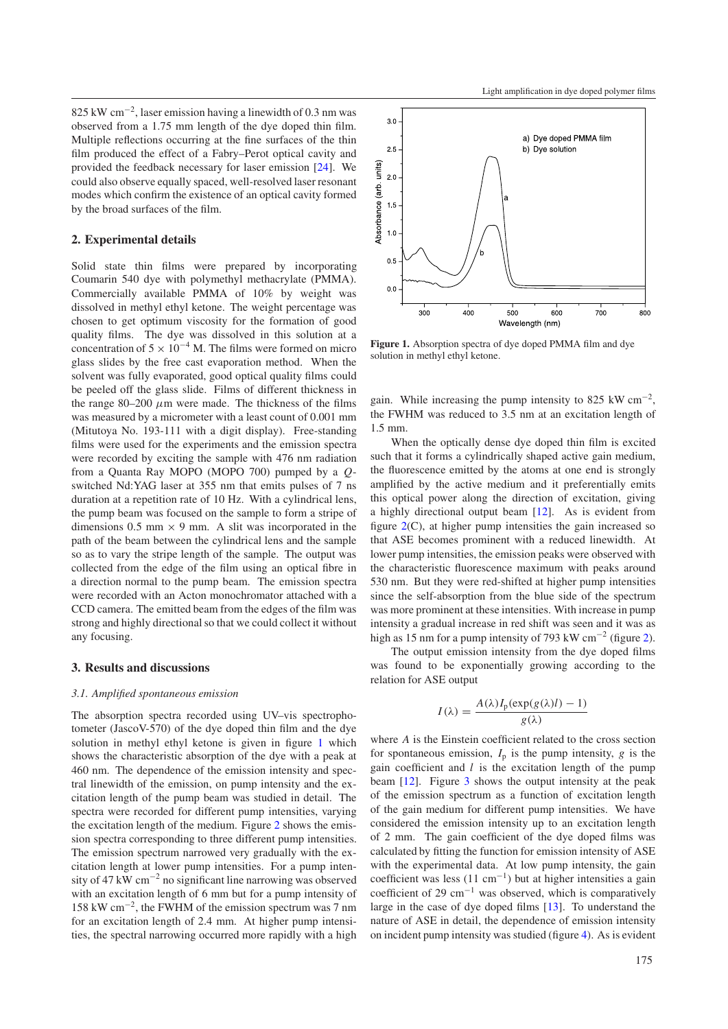825 kW cm<sup>−</sup>2, laser emission having a linewidth of 0.3 nm was observed from a 1.75 mm length of the dye doped thin film. Multiple reflections occurring at the fine surfaces of the thin film produced the effect of a Fabry–Perot optical cavity and provided the feedback necessary for laser emission [\[24\]](#page-6-9). We could also observe equally spaced, well-resolved laser resonant modes which confirm the existence of an optical cavity formed by the broad surfaces of the film.

#### **2. Experimental details**

Solid state thin films were prepared by incorporating Coumarin 540 dye with polymethyl methacrylate (PMMA). Commercially available PMMA of 10% by weight was dissolved in methyl ethyl ketone. The weight percentage was chosen to get optimum viscosity for the formation of good quality films. The dye was dissolved in this solution at a concentration of  $5 \times 10^{-4}$  M. The films were formed on micro glass slides by the free cast evaporation method. When the solvent was fully evaporated, good optical quality films could be peeled off the glass slide. Films of different thickness in the range 80–200  $\mu$ m were made. The thickness of the films was measured by a micrometer with a least count of 0.001 mm (Mitutoya No. 193-111 with a digit display). Free-standing films were used for the experiments and the emission spectra were recorded by exciting the sample with 476 nm radiation from a Quanta Ray MOPO (MOPO 700) pumped by a *Q*switched Nd:YAG laser at 355 nm that emits pulses of 7 ns duration at a repetition rate of 10 Hz. With a cylindrical lens, the pump beam was focused on the sample to form a stripe of dimensions  $0.5$  mm  $\times$  9 mm. A slit was incorporated in the path of the beam between the cylindrical lens and the sample so as to vary the stripe length of the sample. The output was collected from the edge of the film using an optical fibre in a direction normal to the pump beam. The emission spectra were recorded with an Acton monochromator attached with a CCD camera. The emitted beam from the edges of the film was strong and highly directional so that we could collect it without any focusing.

#### **3. Results and discussions**

#### *3.1. Amplified spontaneous emission*

The absorption spectra recorded using UV–vis spectrophotometer (JascoV-570) of the dye doped thin film and the dye solution in methyl ethyl ketone is given in figure [1](#page-2-0) which shows the characteristic absorption of the dye with a peak at 460 nm. The dependence of the emission intensity and spectral linewidth of the emission, on pump intensity and the excitation length of the pump beam was studied in detail. The spectra were recorded for different pump intensities, varying the excitation length of the medium. Figure [2](#page-3-0) shows the emission spectra corresponding to three different pump intensities. The emission spectrum narrowed very gradually with the excitation length at lower pump intensities. For a pump intensity of 47 kW cm−<sup>2</sup> no significant line narrowing was observed with an excitation length of 6 mm but for a pump intensity of 158 kW cm<sup>−</sup>2, the FWHM of the emission spectrum was 7 nm for an excitation length of 2.4 mm. At higher pump intensities, the spectral narrowing occurred more rapidly with a high

<span id="page-2-0"></span>

**Figure 1.** Absorption spectra of dye doped PMMA film and dye solution in methyl ethyl ketone.

gain. While increasing the pump intensity to 825 kW cm<sup>-2</sup>, the FWHM was reduced to 3.5 nm at an excitation length of 1.5 mm.

When the optically dense dye doped thin film is excited such that it forms a cylindrically shaped active gain medium, the fluorescence emitted by the atoms at one end is strongly amplified by the active medium and it preferentially emits this optical power along the direction of excitation, giving a highly directional output beam [\[12\]](#page-6-3). As is evident from figure  $2(C)$  $2(C)$ , at higher pump intensities the gain increased so that ASE becomes prominent with a reduced linewidth. At lower pump intensities, the emission peaks were observed with the characteristic fluorescence maximum with peaks around 530 nm. But they were red-shifted at higher pump intensities since the self-absorption from the blue side of the spectrum was more prominent at these intensities. With increase in pump intensity a gradual increase in red shift was seen and it was as high as 15 nm for a pump intensity of 793 kW cm<sup>-2</sup> (figure [2\)](#page-3-0).

The output emission intensity from the dye doped films was found to be exponentially growing according to the relation for ASE output

$$
I(\lambda) = \frac{A(\lambda)I_p(\exp(g(\lambda)l) - 1)}{g(\lambda)}
$$

where *A* is the Einstein coefficient related to the cross section for spontaneous emission,  $I_p$  is the pump intensity,  $g$  is the gain coefficient and *l* is the excitation length of the pump beam [\[12\]](#page-6-3). Figure [3](#page-3-1) shows the output intensity at the peak of the emission spectrum as a function of excitation length of the gain medium for different pump intensities. We have considered the emission intensity up to an excitation length of 2 mm. The gain coefficient of the dye doped films was calculated by fitting the function for emission intensity of ASE with the experimental data. At low pump intensity, the gain coefficient was less (11 cm<sup>−</sup>1) but at higher intensities a gain coefficient of 29 cm−<sup>1</sup> was observed, which is comparatively large in the case of dye doped films [\[13\]](#page-6-10). To understand the nature of ASE in detail, the dependence of emission intensity on incident pump intensity was studied (figure [4\)](#page-3-2). As is evident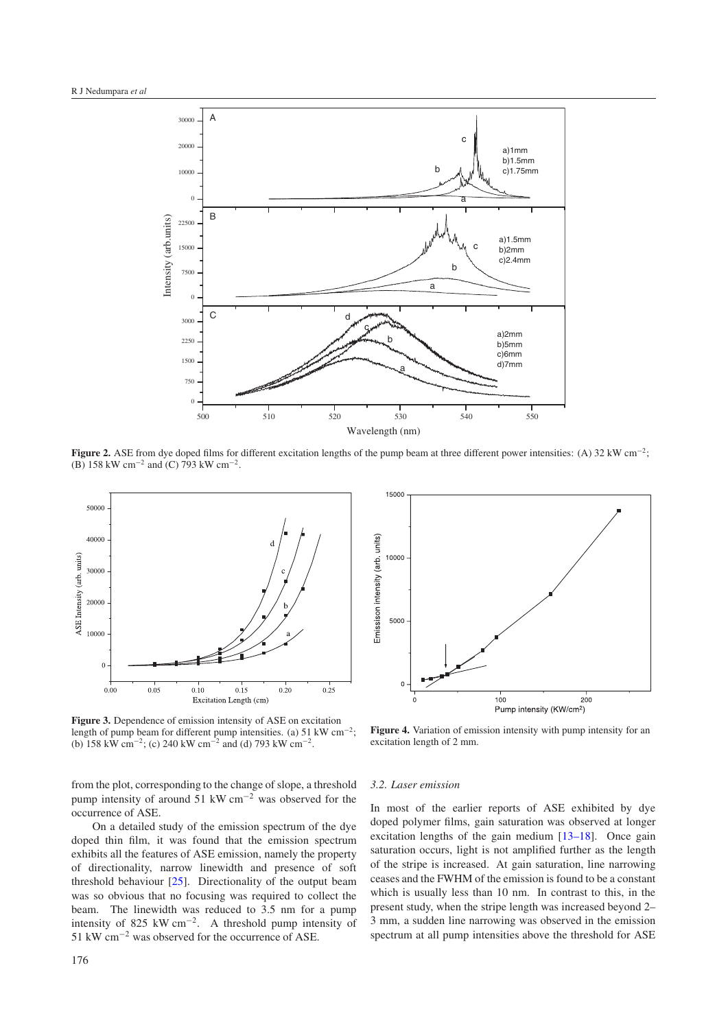<span id="page-3-0"></span>

<span id="page-3-1"></span>**Figure 2.** ASE from dye doped films for different excitation lengths of the pump beam at three different power intensities: (A) 32 kW cm<sup>−</sup>2; (B) 158 kW cm<sup>−</sup><sup>2</sup> and (C) 793 kW cm<sup>−</sup>2.



**Figure 3.** Dependence of emission intensity of ASE on excitation length of pump beam for different pump intensities. (a) 51 kW cm<sup>−</sup>2; (b) 158 kW cm<sup>−</sup>2; (c) 240 kW cm<sup>−</sup><sup>2</sup> and (d) 793 kW cm<sup>−</sup>2.

from the plot, corresponding to the change of slope, a threshold pump intensity of around 51 kW cm−<sup>2</sup> was observed for the occurrence of ASE.

On a detailed study of the emission spectrum of the dye doped thin film, it was found that the emission spectrum exhibits all the features of ASE emission, namely the property of directionality, narrow linewidth and presence of soft threshold behaviour [\[25\]](#page-6-11). Directionality of the output beam was so obvious that no focusing was required to collect the beam. The linewidth was reduced to 3.5 nm for a pump intensity of 825 kW cm<sup>-2</sup>. A threshold pump intensity of 51 kW cm−<sup>2</sup> was observed for the occurrence of ASE.

<span id="page-3-2"></span>

**Figure 4.** Variation of emission intensity with pump intensity for an excitation length of 2 mm.

#### *3.2. Laser emission*

In most of the earlier reports of ASE exhibited by dye doped polymer films, gain saturation was observed at longer excitation lengths of the gain medium [\[13–18\]](#page-6-10). Once gain saturation occurs, light is not amplified further as the length of the stripe is increased. At gain saturation, line narrowing ceases and the FWHM of the emission is found to be a constant which is usually less than 10 nm. In contrast to this, in the present study, when the stripe length was increased beyond 2– 3 mm, a sudden line narrowing was observed in the emission spectrum at all pump intensities above the threshold for ASE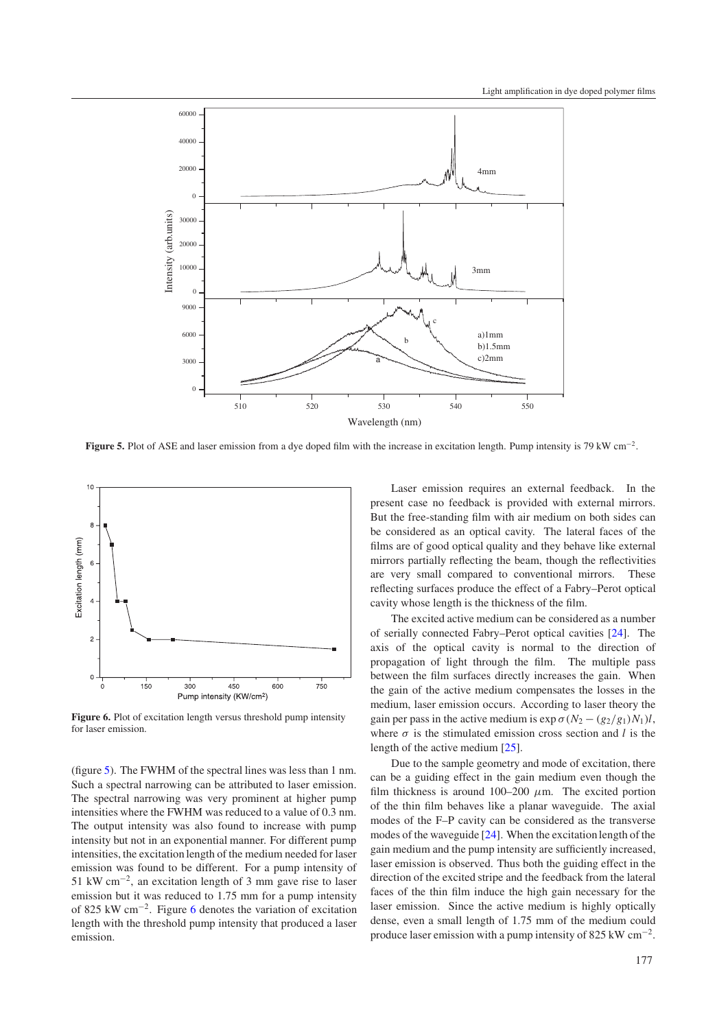<span id="page-4-0"></span>

**Figure 5.** Plot of ASE and laser emission from a dye doped film with the increase in excitation length. Pump intensity is 79 kW cm<sup>−</sup>2.

<span id="page-4-1"></span>

Figure 6. Plot of excitation length versus threshold pump intensity for laser emission.

(figure [5\)](#page-4-0). The FWHM of the spectral lines was less than 1 nm. Such a spectral narrowing can be attributed to laser emission. The spectral narrowing was very prominent at higher pump intensities where the FWHM was reduced to a value of 0.3 nm. The output intensity was also found to increase with pump intensity but not in an exponential manner. For different pump intensities, the excitation length of the medium needed for laser emission was found to be different. For a pump intensity of 51 kW cm<sup>−</sup>2, an excitation length of 3 mm gave rise to laser emission but it was reduced to 1.75 mm for a pump intensity of 825 kW cm<sup>−</sup>2. Figure [6](#page-4-1) denotes the variation of excitation length with the threshold pump intensity that produced a laser emission.

Laser emission requires an external feedback. In the present case no feedback is provided with external mirrors. But the free-standing film with air medium on both sides can be considered as an optical cavity. The lateral faces of the films are of good optical quality and they behave like external mirrors partially reflecting the beam, though the reflectivities are very small compared to conventional mirrors. These reflecting surfaces produce the effect of a Fabry–Perot optical cavity whose length is the thickness of the film.

The excited active medium can be considered as a number of serially connected Fabry–Perot optical cavities [\[24\]](#page-6-9). The axis of the optical cavity is normal to the direction of propagation of light through the film. The multiple pass between the film surfaces directly increases the gain. When the gain of the active medium compensates the losses in the medium, laser emission occurs. According to laser theory the gain per pass in the active medium is  $\exp \sigma (N_2 - (g_2/g_1)N_1)l$ , where  $\sigma$  is the stimulated emission cross section and *l* is the length of the active medium [\[25\]](#page-6-11).

Due to the sample geometry and mode of excitation, there can be a guiding effect in the gain medium even though the film thickness is around 100–200  $\mu$ m. The excited portion of the thin film behaves like a planar waveguide. The axial modes of the F–P cavity can be considered as the transverse modes of the waveguide [\[24\]](#page-6-9). When the excitation length of the gain medium and the pump intensity are sufficiently increased, laser emission is observed. Thus both the guiding effect in the direction of the excited stripe and the feedback from the lateral faces of the thin film induce the high gain necessary for the laser emission. Since the active medium is highly optically dense, even a small length of 1.75 mm of the medium could produce laser emission with a pump intensity of 825 kW cm<sup>−</sup>2.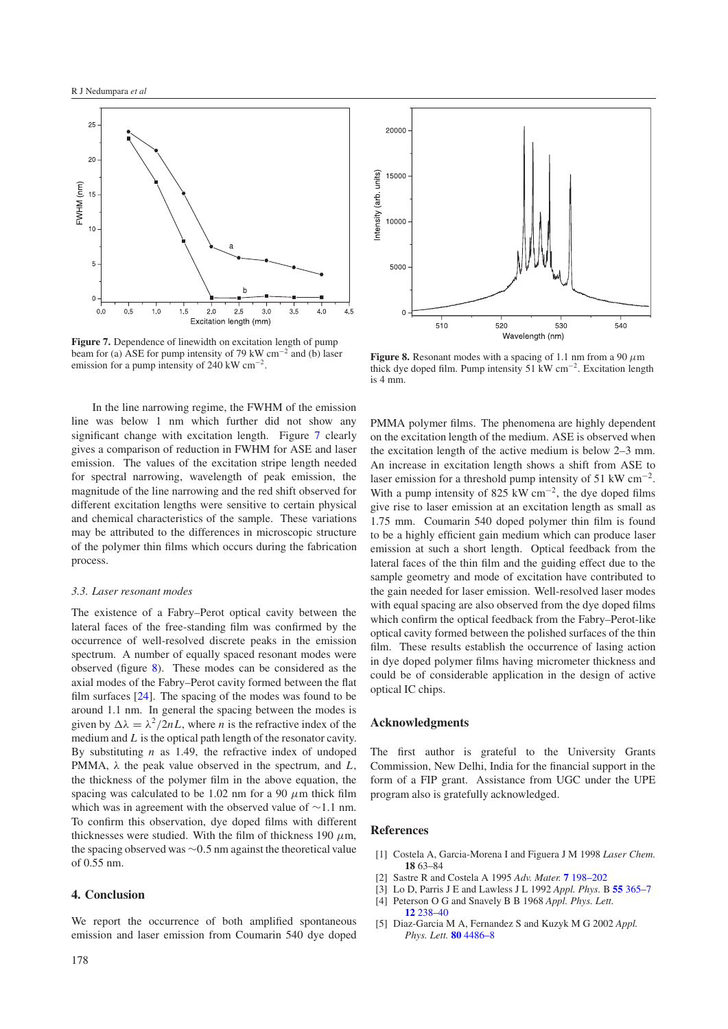<span id="page-5-2"></span>

**Figure 7.** Dependence of linewidth on excitation length of pump beam for (a) ASE for pump intensity of 79 kW cm<sup>-2</sup> and (b) laser emission for a pump intensity of 240 kW  $cm^{-2}$ .

In the line narrowing regime, the FWHM of the emission line was below 1 nm which further did not show any significant change with excitation length. Figure [7](#page-5-2) clearly gives a comparison of reduction in FWHM for ASE and laser emission. The values of the excitation stripe length needed for spectral narrowing, wavelength of peak emission, the magnitude of the line narrowing and the red shift observed for different excitation lengths were sensitive to certain physical and chemical characteristics of the sample. These variations may be attributed to the differences in microscopic structure of the polymer thin films which occurs during the fabrication process.

#### *3.3. Laser resonant modes*

The existence of a Fabry–Perot optical cavity between the lateral faces of the free-standing film was confirmed by the occurrence of well-resolved discrete peaks in the emission spectrum. A number of equally spaced resonant modes were observed (figure [8\)](#page-5-3). These modes can be considered as the axial modes of the Fabry–Perot cavity formed between the flat film surfaces [\[24\]](#page-6-9). The spacing of the modes was found to be around 1.1 nm. In general the spacing between the modes is given by  $\Delta \lambda = \lambda^2 / 2nL$ , where *n* is the refractive index of the medium and *L* is the optical path length of the resonator cavity. By substituting *n* as 1.49, the refractive index of undoped PMMA, λ the peak value observed in the spectrum, and *L*, the thickness of the polymer film in the above equation, the spacing was calculated to be 1.02 nm for a 90  $\mu$ m thick film which was in agreement with the observed value of ∼1.1 nm. To confirm this observation, dye doped films with different thicknesses were studied. With the film of thickness 190  $\mu$ m, the spacing observed was ∼0.5 nm against the theoretical value of 0.55 nm.

#### **4. Conclusion**

We report the occurrence of both amplified spontaneous emission and laser emission from Coumarin 540 dye doped

<span id="page-5-3"></span>

**Figure 8.** Resonant modes with a spacing of 1.1 nm from a 90  $\mu$ m thick dye doped film. Pump intensity 51 kW cm<sup>−</sup>2. Excitation length is 4 mm.

PMMA polymer films. The phenomena are highly dependent on the excitation length of the medium. ASE is observed when the excitation length of the active medium is below 2–3 mm. An increase in excitation length shows a shift from ASE to laser emission for a threshold pump intensity of 51 kW  $cm^{-2}$ . With a pump intensity of 825 kW cm<sup>-2</sup>, the dye doped films give rise to laser emission at an excitation length as small as 1.75 mm. Coumarin 540 doped polymer thin film is found to be a highly efficient gain medium which can produce laser emission at such a short length. Optical feedback from the lateral faces of the thin film and the guiding effect due to the sample geometry and mode of excitation have contributed to the gain needed for laser emission. Well-resolved laser modes with equal spacing are also observed from the dye doped films which confirm the optical feedback from the Fabry–Perot-like optical cavity formed between the polished surfaces of the thin film. These results establish the occurrence of lasing action in dye doped polymer films having micrometer thickness and could be of considerable application in the design of active optical IC chips.

#### **Acknowledgments**

<span id="page-5-0"></span>The first author is grateful to the University Grants Commission, New Delhi, India for the financial support in the form of a FIP grant. Assistance from UGC under the UPE program also is gratefully acknowledged.

### <span id="page-5-1"></span>**References**

- [1] Costela A, Garcia-Morena I and Figuera J M 1998 *Laser Chem.* **18** 63–84
- [2] Sastre R and Costela A 1995 *Adv. Mater.* **7** [198–202](http://dx.doi.org/10.1002/adma.19950070222)
- [3] Lo D, Parris J E and Lawless J L 1992 *Appl. Phys.* B **55** [365–7](http://dx.doi.org/10.1007/BF00333082)
- [4] Peterson O G and Snavely B B 1968 *Appl. Phys. Lett.* **12** [238–40](http://dx.doi.org/10.1063/1.1651972)
- [5] Diaz-Garcia M A, Fernandez S and Kuzyk M G 2002 *Appl. Phys. Lett.* **80** [4486–8](http://dx.doi.org/10.1063/1.1485303)